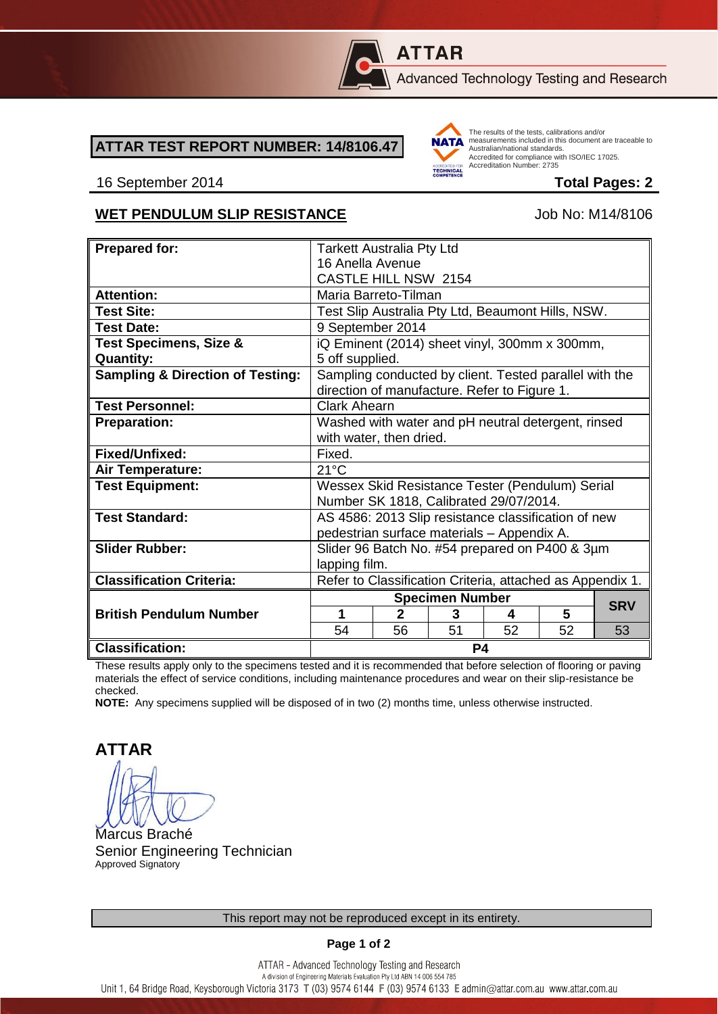

# **ATTAR**

Advanced Technology Testing and Research

## **ATTAR TEST REPORT NUMBER: 14/8106.47**



The results of the tests, calibrations and/or measurements included in this document are traceable to Australian/national standards. Accredited for compliance with ISO/IEC 17025. Accreditation Number: 2735

### 16 September 2014 **Total Pages: 2**

## WET PENDULUM SLIP RESISTANCE<br>
Up to M14/8106

| <b>Prepared for:</b>                        |                                                           |              |    |    |    |            |  |
|---------------------------------------------|-----------------------------------------------------------|--------------|----|----|----|------------|--|
|                                             | <b>Tarkett Australia Pty Ltd</b>                          |              |    |    |    |            |  |
|                                             | 16 Anella Avenue                                          |              |    |    |    |            |  |
|                                             | <b>CASTLE HILL NSW 2154</b>                               |              |    |    |    |            |  |
| <b>Attention:</b>                           | Maria Barreto-Tilman                                      |              |    |    |    |            |  |
| <b>Test Site:</b>                           | Test Slip Australia Pty Ltd, Beaumont Hills, NSW.         |              |    |    |    |            |  |
| <b>Test Date:</b>                           | 9 September 2014                                          |              |    |    |    |            |  |
| <b>Test Specimens, Size &amp;</b>           | iQ Eminent (2014) sheet vinyl, 300mm x 300mm,             |              |    |    |    |            |  |
| <b>Quantity:</b>                            | 5 off supplied.                                           |              |    |    |    |            |  |
| <b>Sampling &amp; Direction of Testing:</b> | Sampling conducted by client. Tested parallel with the    |              |    |    |    |            |  |
|                                             | direction of manufacture. Refer to Figure 1.              |              |    |    |    |            |  |
| <b>Test Personnel:</b>                      | <b>Clark Ahearn</b>                                       |              |    |    |    |            |  |
| <b>Preparation:</b>                         | Washed with water and pH neutral detergent, rinsed        |              |    |    |    |            |  |
|                                             | with water, then dried.                                   |              |    |    |    |            |  |
| Fixed/Unfixed:                              | Fixed.                                                    |              |    |    |    |            |  |
| Air Temperature:                            | $21^{\circ}$ C                                            |              |    |    |    |            |  |
| <b>Test Equipment:</b>                      | Wessex Skid Resistance Tester (Pendulum) Serial           |              |    |    |    |            |  |
|                                             | Number SK 1818, Calibrated 29/07/2014.                    |              |    |    |    |            |  |
| <b>Test Standard:</b>                       | AS 4586: 2013 Slip resistance classification of new       |              |    |    |    |            |  |
|                                             | pedestrian surface materials - Appendix A.                |              |    |    |    |            |  |
| <b>Slider Rubber:</b>                       | Slider 96 Batch No. #54 prepared on P400 & 3µm            |              |    |    |    |            |  |
|                                             | lapping film.                                             |              |    |    |    |            |  |
| <b>Classification Criteria:</b>             | Refer to Classification Criteria, attached as Appendix 1. |              |    |    |    |            |  |
|                                             | <b>Specimen Number</b>                                    |              |    |    |    |            |  |
| <b>British Pendulum Number</b>              | 1                                                         | $\mathbf{2}$ | 3  | 4  | 5  | <b>SRV</b> |  |
|                                             | 54                                                        |              | 51 | 52 |    |            |  |
|                                             |                                                           | 56           |    |    | 52 | 53         |  |
| <b>Classification:</b>                      | <b>P4</b>                                                 |              |    |    |    |            |  |

These results apply only to the specimens tested and it is recommended that before selection of flooring or paving materials the effect of service conditions, including maintenance procedures and wear on their slip-resistance be checked.

**NOTE:** Any specimens supplied will be disposed of in two (2) months time, unless otherwise instructed.

**ATTAR**

Marcus Braché Senior Engineering Technician Approved Signatory

### **Page 1 of 2**